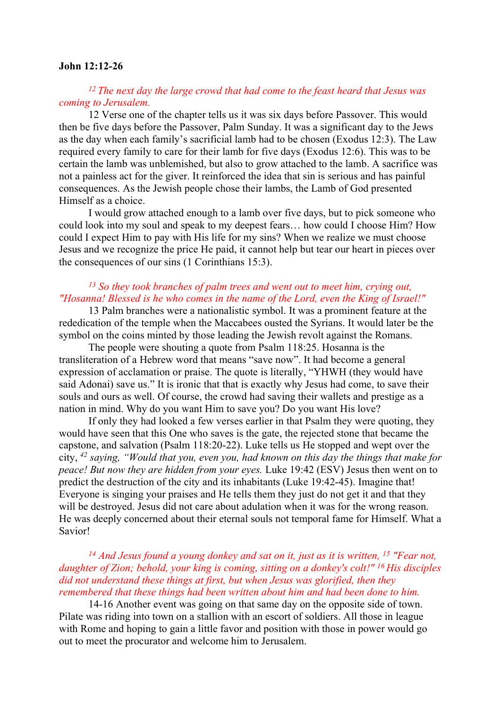#### John 12:12-26

# $12$  The next day the large crowd that had come to the feast heard that Jesus was coming to Jerusalem.

12 Verse one of the chapter tells us it was six days before Passover. This would then be five days before the Passover, Palm Sunday. It was a significant day to the Jews as the day when each family's sacrificial lamb had to be chosen (Exodus 12:3). The Law required every family to care for their lamb for five days (Exodus 12:6). This was to be certain the lamb was unblemished, but also to grow attached to the lamb. A sacrifice was not a painless act for the giver. It reinforced the idea that sin is serious and has painful consequences. As the Jewish people chose their lambs, the Lamb of God presented Himself as a choice.

 I would grow attached enough to a lamb over five days, but to pick someone who could look into my soul and speak to my deepest fears… how could I choose Him? How could I expect Him to pay with His life for my sins? When we realize we must choose Jesus and we recognize the price He paid, it cannot help but tear our heart in pieces over the consequences of our sins (1 Corinthians 15:3).

# <sup>13</sup> So they took branches of palm trees and went out to meet him, crying out, "Hosanna! Blessed is he who comes in the name of the Lord, even the King of Israel!"

13 Palm branches were a nationalistic symbol. It was a prominent feature at the rededication of the temple when the Maccabees ousted the Syrians. It would later be the symbol on the coins minted by those leading the Jewish revolt against the Romans.

The people were shouting a quote from Psalm 118:25. Hosanna is the transliteration of a Hebrew word that means "save now". It had become a general expression of acclamation or praise. The quote is literally, "YHWH (they would have said Adonai) save us." It is ironic that that is exactly why Jesus had come, to save their souls and ours as well. Of course, the crowd had saving their wallets and prestige as a nation in mind. Why do you want Him to save you? Do you want His love?

 If only they had looked a few verses earlier in that Psalm they were quoting, they would have seen that this One who saves is the gate, the rejected stone that became the capstone, and salvation (Psalm 118:20-22). Luke tells us He stopped and wept over the city,  $42$  saying, "Would that you, even you, had known on this day the things that make for peace! But now they are hidden from your eyes. Luke 19:42 (ESV) Jesus then went on to predict the destruction of the city and its inhabitants (Luke 19:42-45). Imagine that! Everyone is singing your praises and He tells them they just do not get it and that they will be destroyed. Jesus did not care about adulation when it was for the wrong reason. He was deeply concerned about their eternal souls not temporal fame for Himself. What a Savior!

### <sup>14</sup> And Jesus found a young donkey and sat on it, just as it is written, <sup>15</sup> "Fear not, daughter of Zion; behold, your king is coming, sitting on a donkey's colt!" <sup>16</sup> His disciples did not understand these things at first, but when Jesus was glorified, then they remembered that these things had been written about him and had been done to him.

14-16 Another event was going on that same day on the opposite side of town. Pilate was riding into town on a stallion with an escort of soldiers. All those in league with Rome and hoping to gain a little favor and position with those in power would go out to meet the procurator and welcome him to Jerusalem.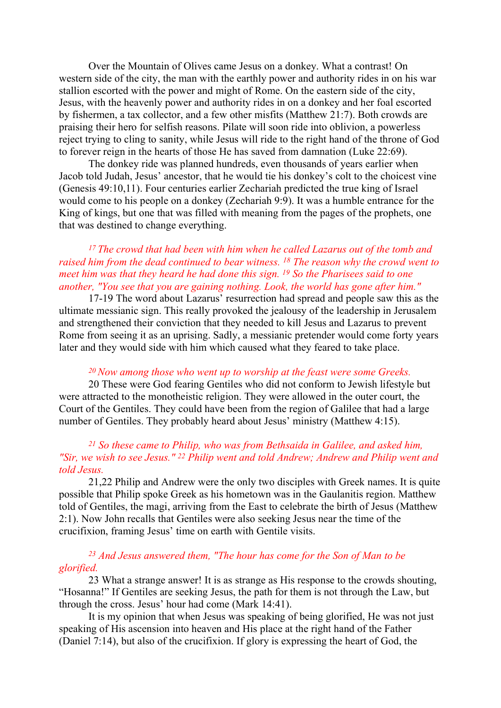Over the Mountain of Olives came Jesus on a donkey. What a contrast! On western side of the city, the man with the earthly power and authority rides in on his war stallion escorted with the power and might of Rome. On the eastern side of the city, Jesus, with the heavenly power and authority rides in on a donkey and her foal escorted by fishermen, a tax collector, and a few other misfits (Matthew 21:7). Both crowds are praising their hero for selfish reasons. Pilate will soon ride into oblivion, a powerless reject trying to cling to sanity, while Jesus will ride to the right hand of the throne of God to forever reign in the hearts of those He has saved from damnation (Luke 22:69).

The donkey ride was planned hundreds, even thousands of years earlier when Jacob told Judah, Jesus' ancestor, that he would tie his donkey's colt to the choicest vine (Genesis 49:10,11). Four centuries earlier Zechariah predicted the true king of Israel would come to his people on a donkey (Zechariah 9:9). It was a humble entrance for the King of kings, but one that was filled with meaning from the pages of the prophets, one that was destined to change everything.

# $17$  The crowd that had been with him when he called Lazarus out of the tomb and raised him from the dead continued to bear witness. <sup>18</sup> The reason why the crowd went to meet him was that they heard he had done this sign.  $^{19}$  So the Pharisees said to one another, "You see that you are gaining nothing. Look, the world has gone after him."

17-19 The word about Lazarus' resurrection had spread and people saw this as the ultimate messianic sign. This really provoked the jealousy of the leadership in Jerusalem and strengthened their conviction that they needed to kill Jesus and Lazarus to prevent Rome from seeing it as an uprising. Sadly, a messianic pretender would come forty years later and they would side with him which caused what they feared to take place.

#### $20$  Now among those who went up to worship at the feast were some Greeks.

20 These were God fearing Gentiles who did not conform to Jewish lifestyle but were attracted to the monotheistic religion. They were allowed in the outer court, the Court of the Gentiles. They could have been from the region of Galilee that had a large number of Gentiles. They probably heard about Jesus' ministry (Matthew 4:15).

## <sup>21</sup> So these came to Philip, who was from Bethsaida in Galilee, and asked him, "Sir, we wish to see Jesus." 22 Philip went and told Andrew; Andrew and Philip went and told Jesus.

21,22 Philip and Andrew were the only two disciples with Greek names. It is quite possible that Philip spoke Greek as his hometown was in the Gaulanitis region. Matthew told of Gentiles, the magi, arriving from the East to celebrate the birth of Jesus (Matthew 2:1). Now John recalls that Gentiles were also seeking Jesus near the time of the crucifixion, framing Jesus' time on earth with Gentile visits.

## <sup>23</sup> And Jesus answered them, "The hour has come for the Son of Man to be glorified.

23 What a strange answer! It is as strange as His response to the crowds shouting, "Hosanna!" If Gentiles are seeking Jesus, the path for them is not through the Law, but through the cross. Jesus' hour had come (Mark 14:41).

It is my opinion that when Jesus was speaking of being glorified, He was not just speaking of His ascension into heaven and His place at the right hand of the Father (Daniel 7:14), but also of the crucifixion. If glory is expressing the heart of God, the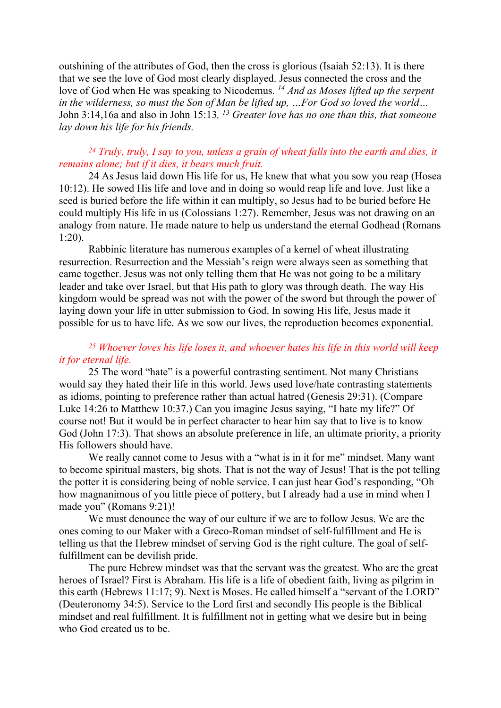outshining of the attributes of God, then the cross is glorious (Isaiah 52:13). It is there that we see the love of God most clearly displayed. Jesus connected the cross and the love of God when He was speaking to Nicodemus. <sup>14</sup> And as Moses lifted up the serpent in the wilderness, so must the Son of Man be lifted up, …For God so loved the world… John 3:14,16a and also in John 15:13,  $^{13}$  Greater love has no one than this, that someone lay down his life for his friends.

# $24$  Truly, truly, I say to you, unless a grain of wheat falls into the earth and dies, it remains alone; but if it dies, it bears much fruit.

24 As Jesus laid down His life for us, He knew that what you sow you reap (Hosea 10:12). He sowed His life and love and in doing so would reap life and love. Just like a seed is buried before the life within it can multiply, so Jesus had to be buried before He could multiply His life in us (Colossians 1:27). Remember, Jesus was not drawing on an analogy from nature. He made nature to help us understand the eternal Godhead (Romans 1:20).

Rabbinic literature has numerous examples of a kernel of wheat illustrating resurrection. Resurrection and the Messiah's reign were always seen as something that came together. Jesus was not only telling them that He was not going to be a military leader and take over Israel, but that His path to glory was through death. The way His kingdom would be spread was not with the power of the sword but through the power of laying down your life in utter submission to God. In sowing His life, Jesus made it possible for us to have life. As we sow our lives, the reproduction becomes exponential.

# $25$  Whoever loves his life loses it, and whoever hates his life in this world will keep it for eternal life.

25 The word "hate" is a powerful contrasting sentiment. Not many Christians would say they hated their life in this world. Jews used love/hate contrasting statements as idioms, pointing to preference rather than actual hatred (Genesis 29:31). (Compare Luke 14:26 to Matthew 10:37.) Can you imagine Jesus saying, "I hate my life?" Of course not! But it would be in perfect character to hear him say that to live is to know God (John 17:3). That shows an absolute preference in life, an ultimate priority, a priority His followers should have.

We really cannot come to Jesus with a "what is in it for me" mindset. Many want to become spiritual masters, big shots. That is not the way of Jesus! That is the pot telling the potter it is considering being of noble service. I can just hear God's responding, "Oh how magnanimous of you little piece of pottery, but I already had a use in mind when I made you" (Romans 9:21)!

We must denounce the way of our culture if we are to follow Jesus. We are the ones coming to our Maker with a Greco-Roman mindset of self-fulfillment and He is telling us that the Hebrew mindset of serving God is the right culture. The goal of selffulfillment can be devilish pride.

The pure Hebrew mindset was that the servant was the greatest. Who are the great heroes of Israel? First is Abraham. His life is a life of obedient faith, living as pilgrim in this earth (Hebrews 11:17; 9). Next is Moses. He called himself a "servant of the LORD" (Deuteronomy 34:5). Service to the Lord first and secondly His people is the Biblical mindset and real fulfillment. It is fulfillment not in getting what we desire but in being who God created us to be.